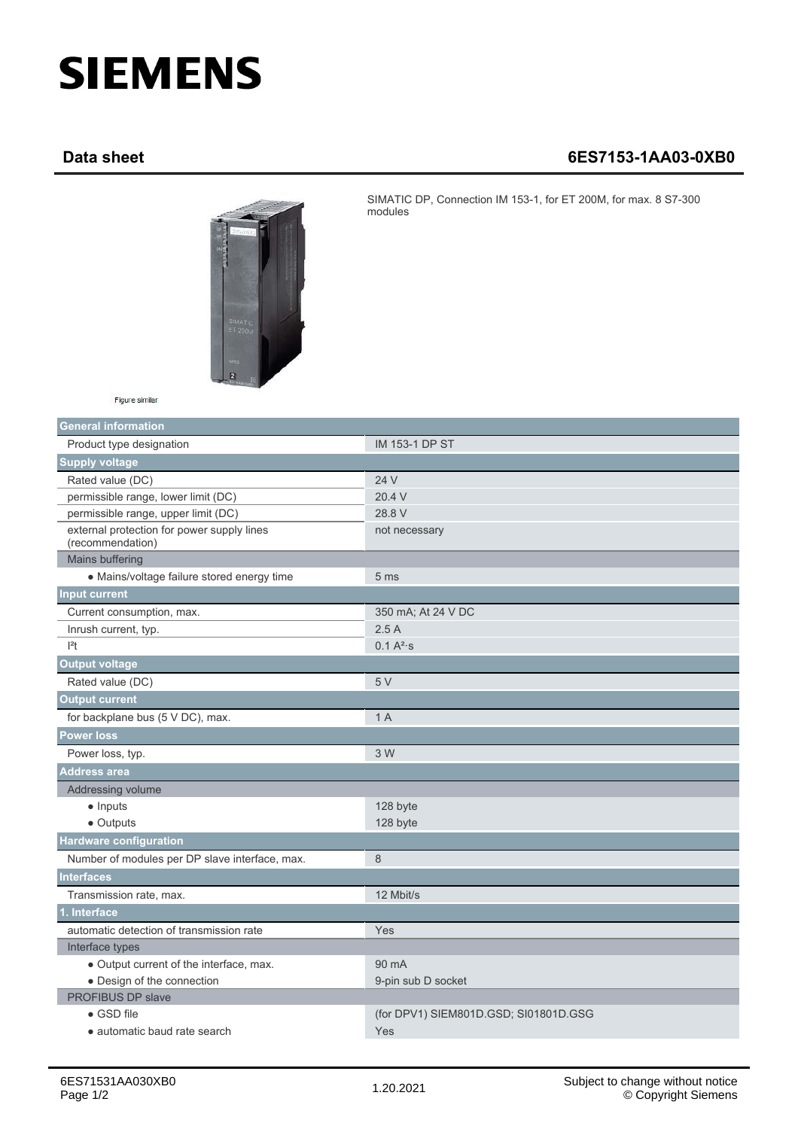## **SIEMENS**

## **Data sheet 6ES7153-1AA03-0XB0**



SIMATIC DP, Connection IM 153-1, for ET 200M, for max. 8 S7-300 modules

Figure similar

| <b>General information</b>                                     |                                       |
|----------------------------------------------------------------|---------------------------------------|
| Product type designation                                       | <b>IM 153-1 DP ST</b>                 |
| <b>Supply voltage</b>                                          |                                       |
| Rated value (DC)                                               | 24 V                                  |
| permissible range, lower limit (DC)                            | 20.4 V                                |
| permissible range, upper limit (DC)                            | 28.8 V                                |
| external protection for power supply lines<br>(recommendation) | not necessary                         |
| Mains buffering                                                |                                       |
| · Mains/voltage failure stored energy time                     | 5 <sub>ms</sub>                       |
| <b>Input current</b>                                           |                                       |
| Current consumption, max.                                      | 350 mA; At 24 V DC                    |
| Inrush current, typ.                                           | 2.5A                                  |
| $ ^{2}t$                                                       | $0.1 A^{2}$ s                         |
| <b>Output voltage</b>                                          |                                       |
| Rated value (DC)                                               | 5V                                    |
| <b>Output current</b>                                          |                                       |
| for backplane bus (5 V DC), max.                               | 1 A                                   |
| <b>Power loss</b>                                              |                                       |
| Power loss, typ.                                               | 3 W                                   |
| <b>Address area</b>                                            |                                       |
| Addressing volume                                              |                                       |
| $\bullet$ Inputs                                               | 128 byte                              |
| • Outputs                                                      | 128 byte                              |
| <b>Hardware configuration</b>                                  |                                       |
| Number of modules per DP slave interface, max.                 | 8                                     |
| <b>Interfaces</b>                                              |                                       |
| Transmission rate, max.                                        | 12 Mbit/s                             |
| 1. Interface                                                   |                                       |
| automatic detection of transmission rate                       | Yes                                   |
| Interface types                                                |                                       |
| • Output current of the interface, max.                        | 90 mA                                 |
| • Design of the connection                                     | 9-pin sub D socket                    |
| <b>PROFIBUS DP slave</b>                                       |                                       |
| $\bullet$ GSD file                                             | (for DPV1) SIEM801D.GSD; SI01801D.GSG |
| • automatic baud rate search                                   | Yes                                   |